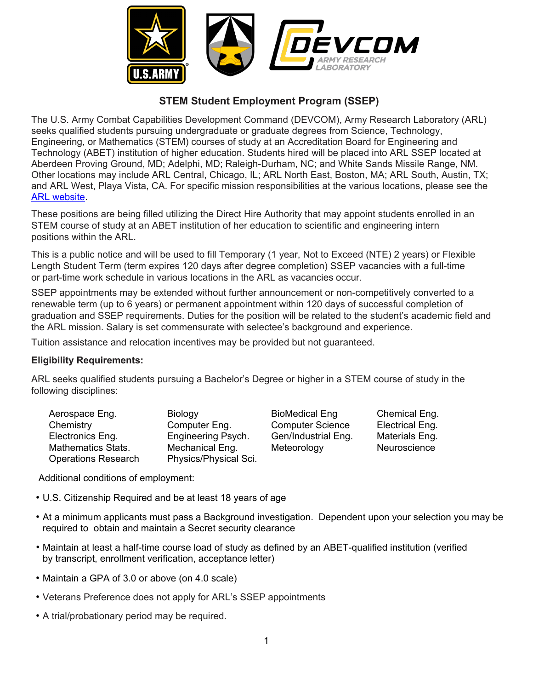

## **STEM Student Employment Program (SSEP)**

The U.S. Army Combat Capabilities Development Command (DEVCOM), Army Research Laboratory (ARL) seeks qualified students pursuing undergraduate or graduate degrees from Science, Technology, Engineering, or Mathematics (STEM) courses of study at an Accreditation Board for Engineering and Technology (ABET) institution of higher education. Students hired will be placed into ARL SSEP located at Aberdeen Proving Ground, MD; Adelphi, MD; Raleigh-Durham, NC; and White Sands Missile Range, NM. Other locations may include ARL Central, Chicago, IL; ARL North East, Boston, MA; ARL South, Austin, TX; and ARL West, Playa Vista, CA. For specific mission responsibilities at the various locations, please see the [ARL website.](https://www.arl.army.mil/)

These positions are being filled utilizing the Direct Hire Authority that may appoint students enrolled in an STEM course of study at an ABET institution of her education to scientific and engineering intern positions within the ARL.

This is a public notice and will be used to fill Temporary (1 year, Not to Exceed (NTE) 2 years) or Flexible Length Student Term (term expires 120 days after degree completion) SSEP vacancies with a full-time or part-time work schedule in various locations in the ARL as vacancies occur.

SSEP appointments may be extended without further announcement or non-competitively converted to a renewable term (up to 6 years) or permanent appointment within 120 days of successful completion of graduation and SSEP requirements. Duties for the position will be related to the student's academic field and the ARL mission. Salary is set commensurate with selectee's background and experience.

Tuition assistance and relocation incentives may be provided but not guaranteed.

## **Eligibility Requirements:**

ARL seeks qualified students pursuing a Bachelor's Degree or higher in a STEM course of study in the following disciplines:

| Aerospace Eng.             | <b>Biology</b>            |
|----------------------------|---------------------------|
| Chemistry                  | Computer Eng.             |
| Electronics Eng.           | <b>Engineering Psych.</b> |
| <b>Mathematics Stats.</b>  | Mechanical Eng.           |
| <b>Operations Research</b> | Physics/Physical Sci.     |

BioMedical Eng. Chemical Eng. Computer Science Flectrical Eng.<br>Gen/Industrial Eng. Materials Eng. Gen/Industrial Eng. Meteorology Neuroscience

Additional conditions of employment:

- U.S. Citizenship Required and be at least 18 years of age
- At a minimum applicants must pass a Background investigation. Dependent upon your selection you may be required to obtain and maintain a Secret security clearance
- Maintain at least a half-time course load of study as defined by an ABET-qualified institution (verified by transcript, enrollment verification, acceptance letter)
- Maintain a GPA of 3.0 or above (on 4.0 scale)
- Veterans Preference does not apply for ARL's SSEP appointments
- A trial/probationary period may be required.